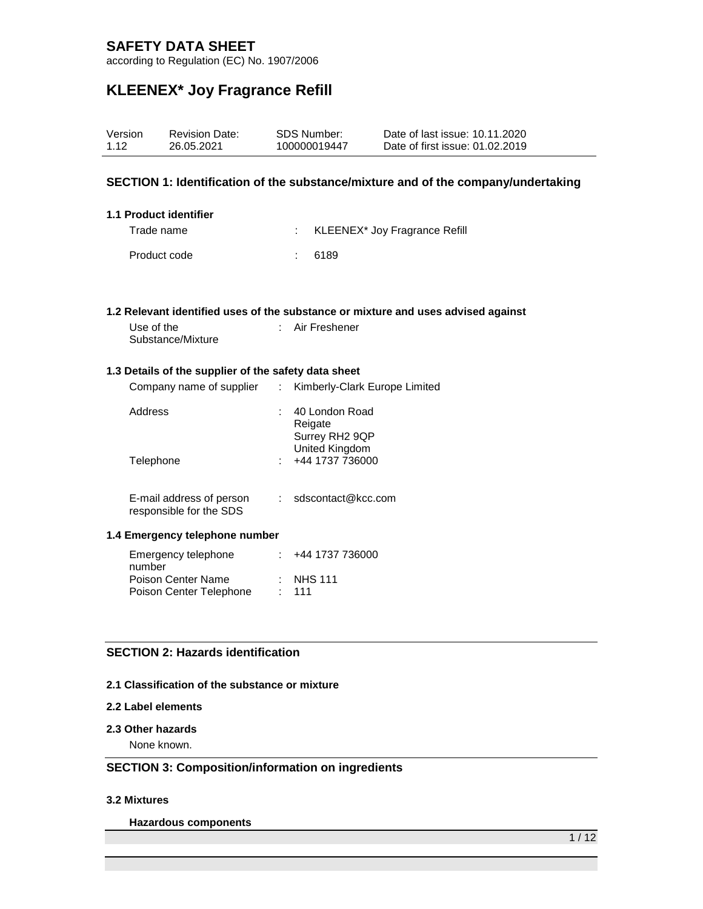according to Regulation (EC) No. 1907/2006

# **KLEENEX\* Joy Fragrance Refill**

| Version<br>1.12 |            | <b>Revision Date:</b><br>26.05.2021                  |               | <b>SDS Number:</b><br>100000019447 | Date of last issue: 10.11.2020<br>Date of first issue: 01.02.2019                 |  |
|-----------------|------------|------------------------------------------------------|---------------|------------------------------------|-----------------------------------------------------------------------------------|--|
|                 |            |                                                      |               |                                    | SECTION 1: Identification of the substance/mixture and of the company/undertaking |  |
|                 |            | 1.1 Product identifier                               |               |                                    |                                                                                   |  |
|                 | Trade name |                                                      |               | t                                  | KLEENEX* Joy Fragrance Refill                                                     |  |
|                 |            | Product code                                         |               | 6189<br>÷                          |                                                                                   |  |
|                 |            |                                                      |               |                                    |                                                                                   |  |
|                 |            |                                                      |               |                                    |                                                                                   |  |
|                 |            |                                                      |               |                                    | 1.2 Relevant identified uses of the substance or mixture and uses advised against |  |
|                 | Use of the | Substance/Mixture                                    |               | Air Freshener                      |                                                                                   |  |
|                 |            |                                                      |               |                                    |                                                                                   |  |
|                 |            | 1.3 Details of the supplier of the safety data sheet |               |                                    |                                                                                   |  |
|                 |            | Company name of supplier                             | $\mathcal{L}$ | Kimberly-Clark Europe Limited      |                                                                                   |  |
|                 | Address    |                                                      |               | 40 London Road                     |                                                                                   |  |
|                 |            |                                                      |               | Reigate<br>Surrey RH2 9QP          |                                                                                   |  |
|                 |            |                                                      |               | United Kingdom                     |                                                                                   |  |
|                 | Telephone  |                                                      |               | +44 1737 736000                    |                                                                                   |  |
|                 |            |                                                      |               |                                    |                                                                                   |  |
|                 |            | E-mail address of person<br>responsible for the SDS  |               | sdscontact@kcc.com                 |                                                                                   |  |
|                 |            |                                                      |               |                                    |                                                                                   |  |
|                 |            | 1.4 Emergency telephone number                       |               |                                    |                                                                                   |  |
|                 | number     | Emergency telephone                                  |               | +44 1737 736000                    |                                                                                   |  |
|                 |            | Poison Center Name                                   |               | <b>NHS 111</b>                     |                                                                                   |  |
|                 |            | Poison Center Telephone                              | ÷.            | 111                                |                                                                                   |  |

### **SECTION 2: Hazards identification**

#### **2.1 Classification of the substance or mixture**

### **2.2 Label elements**

#### **2.3 Other hazards**

None known.

### **SECTION 3: Composition/information on ingredients**

#### **3.2 Mixtures**

**Hazardous components**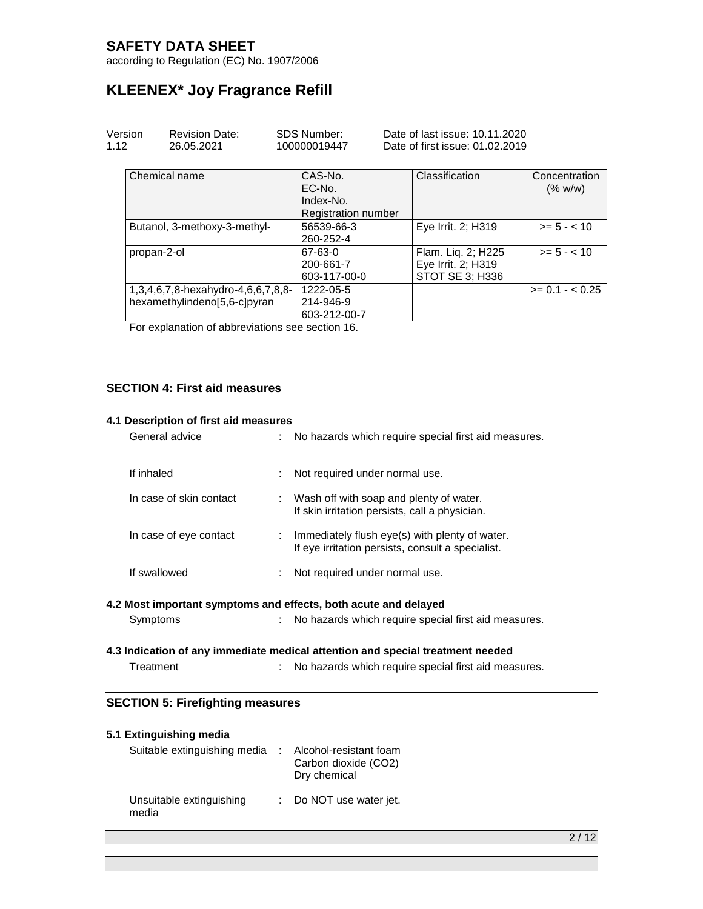according to Regulation (EC) No. 1907/2006

# **KLEENEX\* Joy Fragrance Refill**

| Version<br>1.12 |             | <b>Revision Date:</b><br>26.05.2021                                | <b>SDS Number:</b><br>100000019447                           | Date of last issue: 10.11.2020<br>Date of first issue: 01.02.2019 |                          |
|-----------------|-------------|--------------------------------------------------------------------|--------------------------------------------------------------|-------------------------------------------------------------------|--------------------------|
|                 |             | Chemical name                                                      | CAS-No.<br>EC-No.<br>Index-No.<br><b>Registration number</b> | Classification                                                    | Concentration<br>(% w/w) |
|                 |             | Butanol, 3-methoxy-3-methyl-                                       | 56539-66-3<br>260-252-4                                      | Eye Irrit. 2; H319                                                | $>= 5 - < 10$            |
|                 | propan-2-ol |                                                                    | 67-63-0<br>200-661-7<br>603-117-00-0                         | Flam. Lig. 2; H225<br>Eye Irrit. 2; H319<br>STOT SE 3; H336       | $>= 5 - < 10$            |
|                 |             | 1,3,4,6,7,8-hexahydro-4,6,6,7,8,8-<br>hexamethylindeno[5,6-c]pyran | 1222-05-5<br>214-946-9<br>603-212-00-7                       |                                                                   | $>= 0.1 - < 0.25$        |

For explanation of abbreviations see section 16.

### **SECTION 4: First aid measures**

#### **4.1 Description of first aid measures**

| General advice          | No hazards which require special first aid measures.                                                |
|-------------------------|-----------------------------------------------------------------------------------------------------|
| If inhaled              | Not required under normal use.                                                                      |
| In case of skin contact | : Wash off with soap and plenty of water.<br>If skin irritation persists, call a physician.         |
| In case of eye contact  | Immediately flush eye(s) with plenty of water.<br>If eye irritation persists, consult a specialist. |
| If swallowed            | Not required under normal use.<br>÷                                                                 |
|                         |                                                                                                     |

#### **4.2 Most important symptoms and effects, both acute and delayed**

Symptoms : No hazards which require special first aid measures.

#### **4.3 Indication of any immediate medical attention and special treatment needed**

| Treatment |  | No hazards which require special first aid measures. |
|-----------|--|------------------------------------------------------|
|-----------|--|------------------------------------------------------|

### **SECTION 5: Firefighting measures**

| 5.1 Extinguishing media           |                                                                |
|-----------------------------------|----------------------------------------------------------------|
| Suitable extinguishing media      | Alcohol-resistant foam<br>Carbon dioxide (CO2)<br>Dry chemical |
| Unsuitable extinguishing<br>media | : Do NOT use water jet.                                        |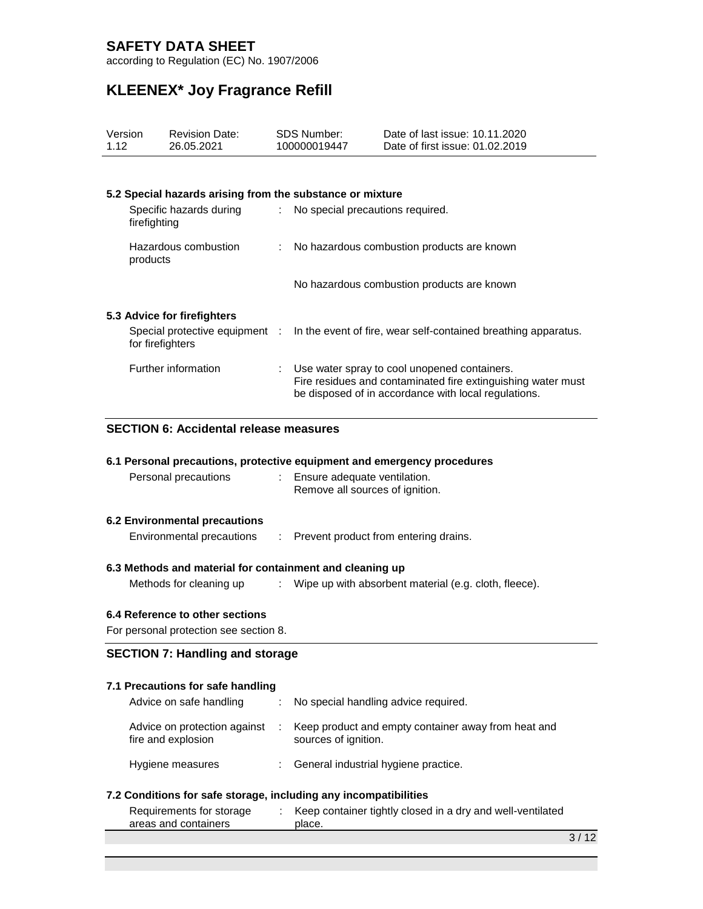according to Regulation (EC) No. 1907/2006

# **KLEENEX\* Joy Fragrance Refill**

| Version                                | <b>Revision Date:</b>                                                   |    | <b>SDS Number:</b>                                                                                                                                                   | Date of last issue: 10.11.2020                                 |  |
|----------------------------------------|-------------------------------------------------------------------------|----|----------------------------------------------------------------------------------------------------------------------------------------------------------------------|----------------------------------------------------------------|--|
| 1.12                                   | 26.05.2021                                                              |    | 100000019447                                                                                                                                                         | Date of first issue: 01.02.2019                                |  |
|                                        |                                                                         |    |                                                                                                                                                                      |                                                                |  |
|                                        |                                                                         |    |                                                                                                                                                                      |                                                                |  |
|                                        | 5.2 Special hazards arising from the substance or mixture               |    |                                                                                                                                                                      |                                                                |  |
|                                        | Specific hazards during<br>firefighting                                 | ÷  | No special precautions required.                                                                                                                                     |                                                                |  |
| products                               | Hazardous combustion                                                    |    |                                                                                                                                                                      | No hazardous combustion products are known                     |  |
|                                        |                                                                         |    |                                                                                                                                                                      | No hazardous combustion products are known                     |  |
|                                        | 5.3 Advice for firefighters                                             |    |                                                                                                                                                                      |                                                                |  |
|                                        | Special protective equipment :<br>for firefighters                      |    |                                                                                                                                                                      | In the event of fire, wear self-contained breathing apparatus. |  |
| Further information                    |                                                                         |    | Use water spray to cool unopened containers.<br>Fire residues and contaminated fire extinguishing water must<br>be disposed of in accordance with local regulations. |                                                                |  |
|                                        | <b>SECTION 6: Accidental release measures</b>                           |    |                                                                                                                                                                      |                                                                |  |
|                                        | 6.1 Personal precautions, protective equipment and emergency procedures |    |                                                                                                                                                                      |                                                                |  |
|                                        | Personal precautions                                                    |    | Ensure adequate ventilation.                                                                                                                                         |                                                                |  |
|                                        |                                                                         |    | Remove all sources of ignition.                                                                                                                                      |                                                                |  |
|                                        |                                                                         |    |                                                                                                                                                                      |                                                                |  |
|                                        | <b>6.2 Environmental precautions</b>                                    |    |                                                                                                                                                                      |                                                                |  |
| Environmental precautions              |                                                                         | ÷. |                                                                                                                                                                      | Prevent product from entering drains.                          |  |
|                                        | 6.3 Methods and material for containment and cleaning up                |    |                                                                                                                                                                      |                                                                |  |
|                                        | Methods for cleaning up                                                 |    | Wipe up with absorbent material (e.g. cloth, fleece).                                                                                                                |                                                                |  |
|                                        | 6.4 Reference to other sections                                         |    |                                                                                                                                                                      |                                                                |  |
|                                        |                                                                         |    |                                                                                                                                                                      |                                                                |  |
| For personal protection see section 8. |                                                                         |    |                                                                                                                                                                      |                                                                |  |

### **SECTION 7: Handling and storage**

### **7.1 Precautions for safe handling**

| Advice on safe handling                            | : No special handling advice required.                                      |
|----------------------------------------------------|-----------------------------------------------------------------------------|
| Advice on protection against<br>fire and explosion | Keep product and empty container away from heat and<br>sources of ignition. |
| Hygiene measures                                   | General industrial hygiene practice.                                        |

### **7.2 Conditions for safe storage, including any incompatibilities**

| Requirements for storage | Keep container tightly closed in a dry and well-ventilated |
|--------------------------|------------------------------------------------------------|
| areas and containers     | place.                                                     |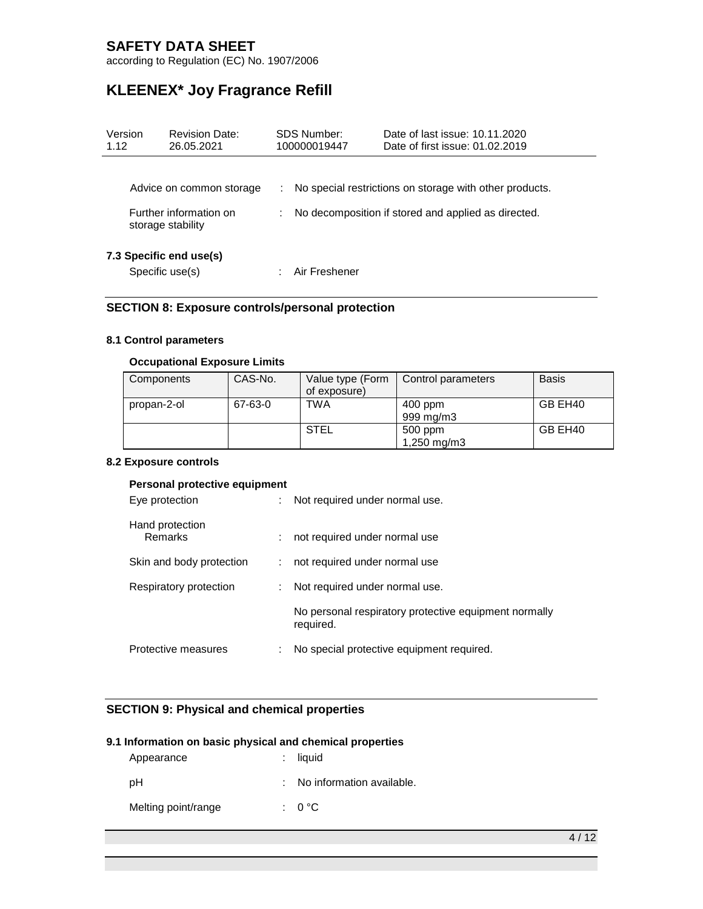according to Regulation (EC) No. 1907/2006

# **KLEENEX\* Joy Fragrance Refill**

| Version<br>1.12 | SDS Number:<br><b>Revision Date:</b><br>26.05.2021<br>100000019447      |   |               | Date of last issue: 10.11.2020<br>Date of first issue: 01.02.2019                                              |
|-----------------|-------------------------------------------------------------------------|---|---------------|----------------------------------------------------------------------------------------------------------------|
|                 | Advice on common storage<br>Further information on<br>storage stability | ÷ |               | No special restrictions on storage with other products.<br>No decomposition if stored and applied as directed. |
|                 | 7.3 Specific end use(s)<br>Specific use(s)                              |   | Air Freshener |                                                                                                                |

### **SECTION 8: Exposure controls/personal protection**

#### **8.1 Control parameters**

### **Occupational Exposure Limits**

| Components  | CAS-No. | Value type (Form<br>of exposure) | Control parameters     | <b>Basis</b> |
|-------------|---------|----------------------------------|------------------------|--------------|
| propan-2-ol | 67-63-0 | TWA                              | $400$ ppm              | GB EH40      |
|             |         |                                  | 999 mg/m3              |              |
|             |         | <b>STEL</b>                      | 500 ppm<br>1,250 mg/m3 | GB EH40      |

#### **8.2 Exposure controls**

#### **Personal protective equipment**

| Eye protection             | ÷  | Not required under normal use.                                     |
|----------------------------|----|--------------------------------------------------------------------|
| Hand protection<br>Remarks |    | not required under normal use                                      |
| Skin and body protection   |    | not required under normal use                                      |
| Respiratory protection     | ÷. | Not required under normal use.                                     |
|                            |    | No personal respiratory protective equipment normally<br>required. |
| Protective measures        |    | No special protective equipment required.                          |

### **SECTION 9: Physical and chemical properties**

### **9.1 Information on basic physical and chemical properties**

| Appearance          | $:$ liquid                  |
|---------------------|-----------------------------|
| pH                  | : No information available. |
| Melting point/range | $: 0^{\circ}$ C             |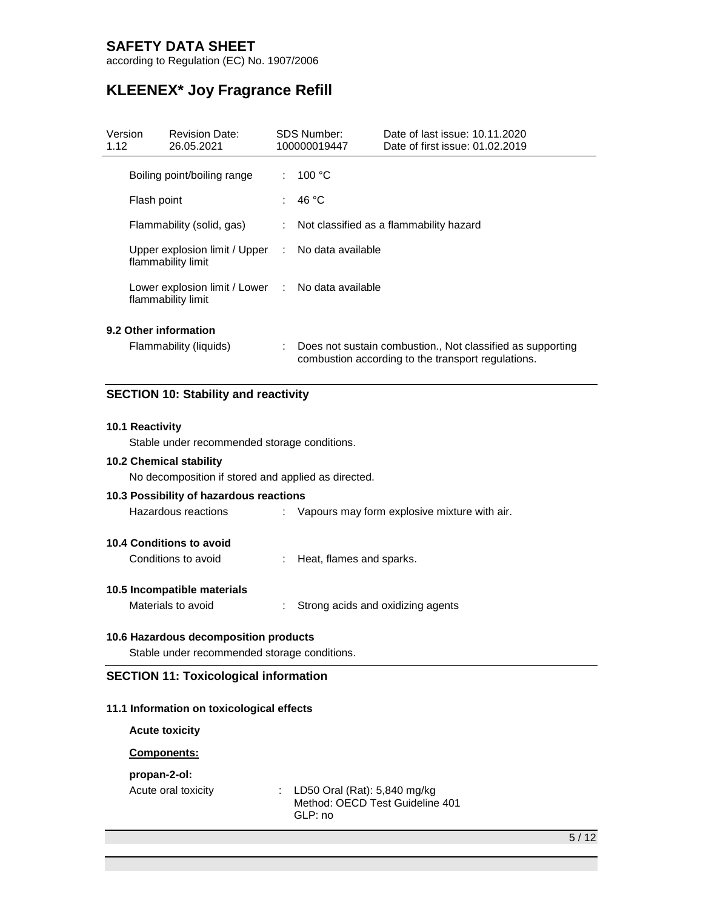according to Regulation (EC) No. 1907/2006

# **KLEENEX\* Joy Fragrance Refill**

| Version<br>1.12       | <b>Revision Date:</b><br>26.05.2021                                     |    | SDS Number:<br>100000019447 | Date of last issue: 10.11.2020<br>Date of first issue: 01.02.2019                                                |
|-----------------------|-------------------------------------------------------------------------|----|-----------------------------|------------------------------------------------------------------------------------------------------------------|
|                       | Boiling point/boiling range                                             | ÷. | 100 $\degree$ C             |                                                                                                                  |
| Flash point           |                                                                         | t. | 46 °C                       |                                                                                                                  |
|                       | Flammability (solid, gas)                                               |    |                             | Not classified as a flammability hazard                                                                          |
|                       | Upper explosion limit / Upper : No data available<br>flammability limit |    |                             |                                                                                                                  |
|                       | Lower explosion limit / Lower : No data available<br>flammability limit |    |                             |                                                                                                                  |
| 9.2 Other information | Flammability (liquids)                                                  |    |                             | Does not sustain combustion., Not classified as supporting<br>combustion according to the transport regulations. |

### **SECTION 10: Stability and reactivity**

#### **10.1 Reactivity**

Stable under recommended storage conditions.

### **10.2 Chemical stability**

No decomposition if stored and applied as directed.

# **10.3 Possibility of hazardous reactions** Hazardous reactions : Vapours may form explosive mixture with air. **10.4 Conditions to avoid** Conditions to avoid : Heat, flames and sparks.

#### **10.5 Incompatible materials**

Materials to avoid : Strong acids and oxidizing agents

### **10.6 Hazardous decomposition products**

Stable under recommended storage conditions.

#### **SECTION 11: Toxicological information**

#### **11.1 Information on toxicological effects**

**Acute toxicity**

#### **Components:**

### **propan-2-ol:**

Acute oral toxicity : LD50 Oral (Rat): 5,840 mg/kg Method: OECD Test Guideline 401 GLP: no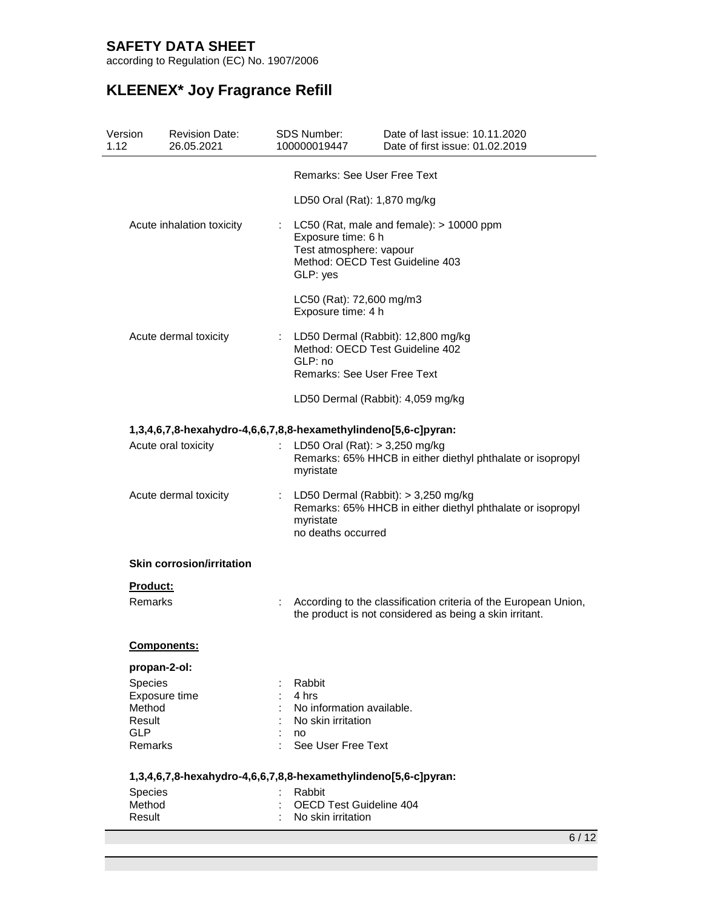according to Regulation (EC) No. 1907/2006

| Version<br>1.12 | <b>Revision Date:</b><br>26.05.2021                             |    | <b>SDS Number:</b><br>100000019447                                                           | Date of last issue: 10.11.2020<br>Date of first issue: 01.02.2019                                                          |
|-----------------|-----------------------------------------------------------------|----|----------------------------------------------------------------------------------------------|----------------------------------------------------------------------------------------------------------------------------|
|                 |                                                                 |    | <b>Remarks: See User Free Text</b>                                                           |                                                                                                                            |
|                 |                                                                 |    | LD50 Oral (Rat): 1,870 mg/kg                                                                 |                                                                                                                            |
|                 | Acute inhalation toxicity                                       | t. | Exposure time: 6 h<br>Test atmosphere: vapour<br>Method: OECD Test Guideline 403<br>GLP: yes | LC50 (Rat, male and female): $> 10000$ ppm                                                                                 |
|                 |                                                                 |    | LC50 (Rat): 72,600 mg/m3<br>Exposure time: 4 h                                               |                                                                                                                            |
|                 | Acute dermal toxicity                                           | ÷. | Method: OECD Test Guideline 402<br>GLP: no<br><b>Remarks: See User Free Text</b>             | LD50 Dermal (Rabbit): 12,800 mg/kg                                                                                         |
|                 |                                                                 |    |                                                                                              | LD50 Dermal (Rabbit): 4,059 mg/kg                                                                                          |
|                 | 1,3,4,6,7,8-hexahydro-4,6,6,7,8,8-hexamethylindeno[5,6-c]pyran: |    |                                                                                              |                                                                                                                            |
|                 | Acute oral toxicity                                             | ÷. | LD50 Oral (Rat): > 3,250 mg/kg<br>myristate                                                  | Remarks: 65% HHCB in either diethyl phthalate or isopropyl                                                                 |
|                 | Acute dermal toxicity                                           |    | myristate<br>no deaths occurred                                                              | LD50 Dermal (Rabbit): > 3,250 mg/kg<br>Remarks: 65% HHCB in either diethyl phthalate or isopropyl                          |
|                 | <b>Skin corrosion/irritation</b>                                |    |                                                                                              |                                                                                                                            |
|                 | <b>Product:</b>                                                 |    |                                                                                              |                                                                                                                            |
|                 | Remarks                                                         |    |                                                                                              | According to the classification criteria of the European Union,<br>the product is not considered as being a skin irritant. |
|                 | <b>Components:</b>                                              |    |                                                                                              |                                                                                                                            |
|                 | propan-2-ol:                                                    |    |                                                                                              |                                                                                                                            |
|                 | Species                                                         |    | Rabbit<br>4 hrs                                                                              |                                                                                                                            |
|                 | Exposure time<br>Method                                         |    | No information available.                                                                    |                                                                                                                            |
|                 | Result                                                          |    | No skin irritation                                                                           |                                                                                                                            |
|                 | <b>GLP</b><br>Remarks                                           |    | no<br>See User Free Text                                                                     |                                                                                                                            |
|                 | 1,3,4,6,7,8-hexahydro-4,6,6,7,8,8-hexamethylindeno[5,6-c]pyran: |    |                                                                                              |                                                                                                                            |
|                 | Species                                                         |    | Rabbit                                                                                       |                                                                                                                            |
|                 | Method<br>Result                                                |    | <b>OECD Test Guideline 404</b><br>No skin irritation                                         |                                                                                                                            |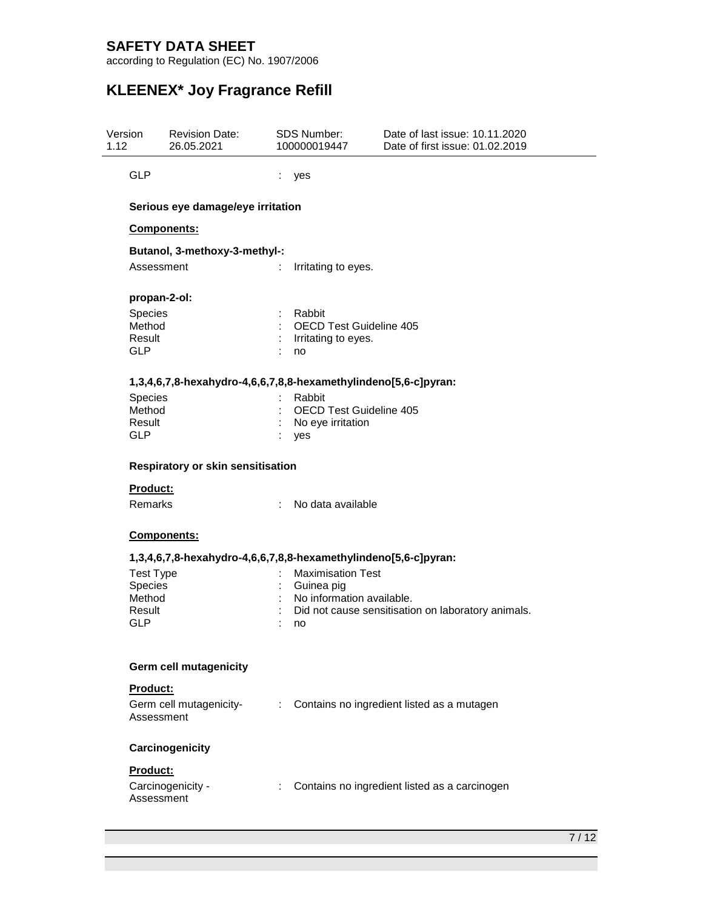according to Regulation (EC) No. 1907/2006

| Version<br>1.12 |                                                               | <b>Revision Date:</b><br>26.05.2021                             |   | SDS Number:<br>100000019447                                               | Date of last issue: 10.11.2020<br>Date of first issue: 01.02.2019 |  |
|-----------------|---------------------------------------------------------------|-----------------------------------------------------------------|---|---------------------------------------------------------------------------|-------------------------------------------------------------------|--|
|                 | <b>GLP</b>                                                    |                                                                 | ÷ | yes                                                                       |                                                                   |  |
|                 |                                                               | Serious eye damage/eye irritation                               |   |                                                                           |                                                                   |  |
|                 |                                                               | Components:                                                     |   |                                                                           |                                                                   |  |
|                 | Assessment                                                    | Butanol, 3-methoxy-3-methyl-:                                   |   | Irritating to eyes.                                                       |                                                                   |  |
|                 | propan-2-ol:                                                  |                                                                 |   |                                                                           |                                                                   |  |
|                 | Species<br>Method<br>Result<br><b>GLP</b>                     |                                                                 |   | Rabbit<br><b>OECD Test Guideline 405</b><br>Irritating to eyes.<br>no     |                                                                   |  |
|                 |                                                               | 1,3,4,6,7,8-hexahydro-4,6,6,7,8,8-hexamethylindeno[5,6-c]pyran: |   |                                                                           |                                                                   |  |
|                 | Species<br>Method<br>Result<br><b>GLP</b>                     |                                                                 |   | Rabbit<br>OECD Test Guideline 405<br>No eye irritation<br>yes             |                                                                   |  |
|                 | Respiratory or skin sensitisation                             |                                                                 |   |                                                                           |                                                                   |  |
|                 | <b>Product:</b>                                               |                                                                 |   |                                                                           |                                                                   |  |
|                 | Remarks                                                       |                                                                 | ÷ | No data available                                                         |                                                                   |  |
|                 |                                                               | Components:                                                     |   |                                                                           |                                                                   |  |
|                 |                                                               | 1,3,4,6,7,8-hexahydro-4,6,6,7,8,8-hexamethylindeno[5,6-c]pyran: |   |                                                                           |                                                                   |  |
|                 | <b>Test Type</b><br>Species<br>Method<br>Result<br><b>GLP</b> |                                                                 |   | <b>Maximisation Test</b><br>Guinea pig<br>No information available.<br>no | Did not cause sensitisation on laboratory animals.                |  |
|                 |                                                               | <b>Germ cell mutagenicity</b>                                   |   |                                                                           |                                                                   |  |
|                 | Product:<br>Assessment                                        | Germ cell mutagenicity-                                         | ÷ |                                                                           | Contains no ingredient listed as a mutagen                        |  |
|                 |                                                               | Carcinogenicity                                                 |   |                                                                           |                                                                   |  |
|                 | Product:<br>Assessment                                        | Carcinogenicity -                                               |   |                                                                           | Contains no ingredient listed as a carcinogen                     |  |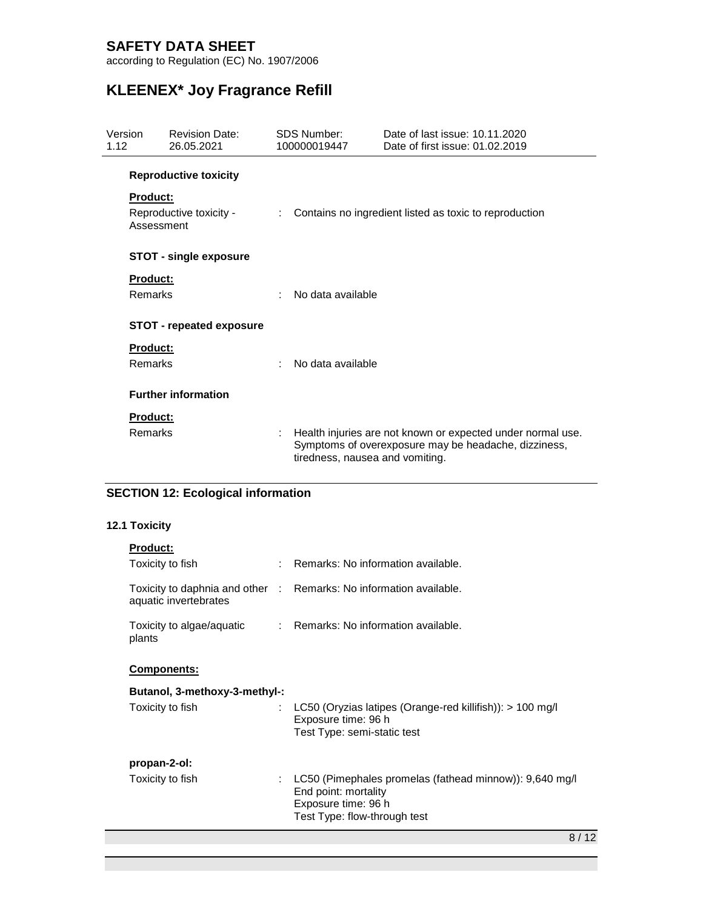according to Regulation (EC) No. 1907/2006

# **KLEENEX\* Joy Fragrance Refill**

| Version<br>1.12 |                 | <b>Revision Date:</b><br>26.05.2021 |    | SDS Number:<br>100000019447     | Date of last issue: 10.11.2020<br>Date of first issue: 01.02.2019                                                   |
|-----------------|-----------------|-------------------------------------|----|---------------------------------|---------------------------------------------------------------------------------------------------------------------|
|                 |                 | <b>Reproductive toxicity</b>        |    |                                 |                                                                                                                     |
|                 | <b>Product:</b> |                                     |    |                                 |                                                                                                                     |
|                 | Assessment      | Reproductive toxicity -             | ÷. |                                 | Contains no ingredient listed as toxic to reproduction                                                              |
|                 |                 | <b>STOT - single exposure</b>       |    |                                 |                                                                                                                     |
|                 | Product:        |                                     |    |                                 |                                                                                                                     |
|                 | Remarks         |                                     |    | No data available               |                                                                                                                     |
|                 |                 | <b>STOT - repeated exposure</b>     |    |                                 |                                                                                                                     |
|                 | <b>Product:</b> |                                     |    |                                 |                                                                                                                     |
|                 | Remarks         |                                     | ÷  | No data available               |                                                                                                                     |
|                 |                 | <b>Further information</b>          |    |                                 |                                                                                                                     |
|                 | Product:        |                                     |    |                                 |                                                                                                                     |
|                 | Remarks         |                                     |    | tiredness, nausea and vomiting. | Health injuries are not known or expected under normal use.<br>Symptoms of overexposure may be headache, dizziness, |

## **SECTION 12: Ecological information**

### **12.1 Toxicity**

| <b>Product:</b>                     |   |                                                                                                                                        |
|-------------------------------------|---|----------------------------------------------------------------------------------------------------------------------------------------|
| Toxicity to fish                    |   | Remarks: No information available.                                                                                                     |
| aquatic invertebrates               |   | Toxicity to daphnia and other : Remarks: No information available.                                                                     |
| Toxicity to algae/aquatic<br>plants |   | : Remarks: No information available.                                                                                                   |
| <b>Components:</b>                  |   |                                                                                                                                        |
| Butanol, 3-methoxy-3-methyl-:       |   |                                                                                                                                        |
| Toxicity to fish                    |   | LC50 (Oryzias latipes (Orange-red killifish)): $> 100$ mg/l<br>Exposure time: 96 h<br>Test Type: semi-static test                      |
| propan-2-ol:                        |   |                                                                                                                                        |
| Toxicity to fish                    | ÷ | LC50 (Pimephales promelas (fathead minnow)): 9,640 mg/l<br>End point: mortality<br>Exposure time: 96 h<br>Test Type: flow-through test |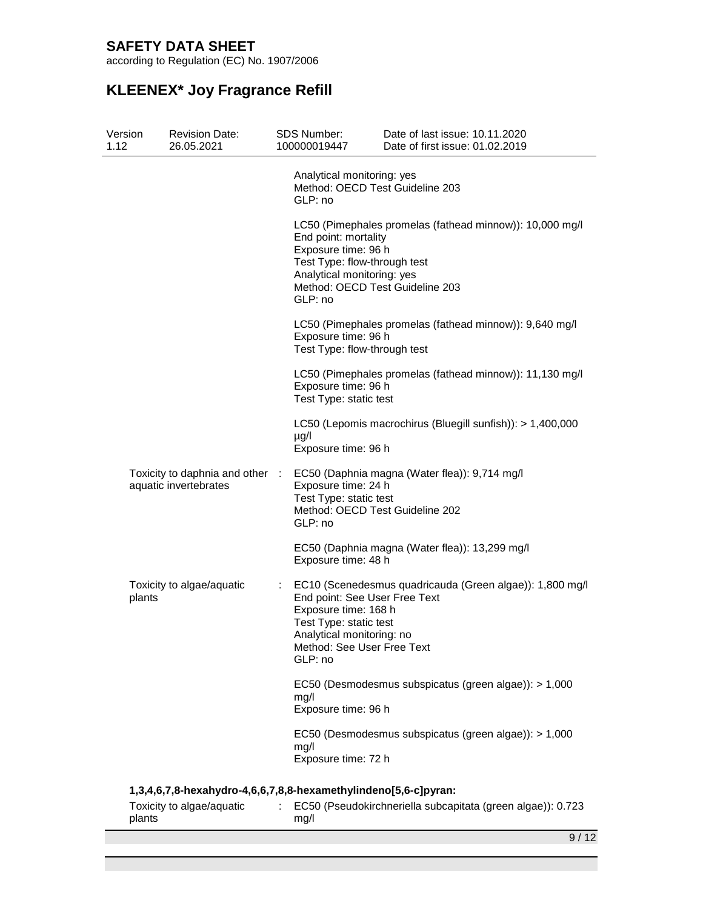according to Regulation (EC) No. 1907/2006

| Version<br>1.12 | <b>Revision Date:</b><br>26.05.2021                             | SDS Number:<br>100000019447                                                                                               | Date of last issue: 10.11.2020<br>Date of first issue: 01.02.2019                           |
|-----------------|-----------------------------------------------------------------|---------------------------------------------------------------------------------------------------------------------------|---------------------------------------------------------------------------------------------|
|                 |                                                                 | Analytical monitoring: yes<br>GLP: no                                                                                     | Method: OECD Test Guideline 203                                                             |
|                 |                                                                 | End point: mortality<br>Exposure time: 96 h<br>Test Type: flow-through test<br>Analytical monitoring: yes<br>GLP: no      | LC50 (Pimephales promelas (fathead minnow)): 10,000 mg/l<br>Method: OECD Test Guideline 203 |
|                 |                                                                 | Exposure time: 96 h<br>Test Type: flow-through test                                                                       | LC50 (Pimephales promelas (fathead minnow)): 9,640 mg/l                                     |
|                 |                                                                 | Exposure time: 96 h<br>Test Type: static test                                                                             | LC50 (Pimephales promelas (fathead minnow)): 11,130 mg/l                                    |
|                 |                                                                 | $\mu$ g/l<br>Exposure time: 96 h                                                                                          | LC50 (Lepomis macrochirus (Bluegill sunfish)): > 1,400,000                                  |
|                 | Toxicity to daphnia and other :<br>aquatic invertebrates        | Exposure time: 24 h<br>Test Type: static test<br>GLP: no                                                                  | EC50 (Daphnia magna (Water flea)): 9,714 mg/l<br>Method: OECD Test Guideline 202            |
|                 |                                                                 | Exposure time: 48 h                                                                                                       | EC50 (Daphnia magna (Water flea)): 13,299 mg/l                                              |
| plants          | Toxicity to algae/aquatic                                       | ÷<br>Exposure time: 168 h<br>Test Type: static test<br>Analytical monitoring: no<br>Method: See User Free Text<br>GLP: no | EC10 (Scenedesmus quadricauda (Green algae)): 1,800 mg/l<br>End point: See User Free Text   |
|                 |                                                                 | mg/l<br>Exposure time: 96 h                                                                                               | EC50 (Desmodesmus subspicatus (green algae)): > 1,000                                       |
|                 |                                                                 | mg/l<br>Exposure time: 72 h                                                                                               | EC50 (Desmodesmus subspicatus (green algae)): > 1,000                                       |
|                 | 1,3,4,6,7,8-hexahydro-4,6,6,7,8,8-hexamethylindeno[5,6-c]pyran: |                                                                                                                           |                                                                                             |
| plants          | Toxicity to algae/aquatic                                       | mg/l                                                                                                                      | EC50 (Pseudokirchneriella subcapitata (green algae)): 0.723                                 |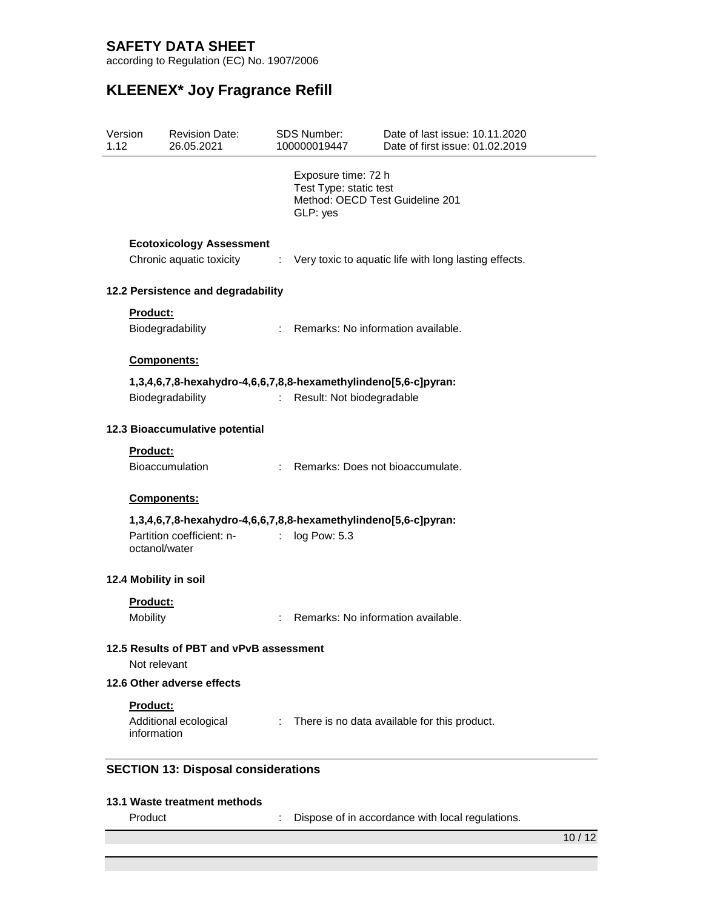according to Regulation (EC) No. 1907/2006

| Version<br>1.12 |                                                         | <b>Revision Date:</b><br>26.05.2021                                                          |                           | SDS Number:<br>100000019447                                                                  | Date of last issue: 10.11.2020<br>Date of first issue: 01.02.2019 |
|-----------------|---------------------------------------------------------|----------------------------------------------------------------------------------------------|---------------------------|----------------------------------------------------------------------------------------------|-------------------------------------------------------------------|
|                 |                                                         |                                                                                              |                           | Exposure time: 72 h<br>Test Type: static test<br>Method: OECD Test Guideline 201<br>GLP: yes |                                                                   |
|                 |                                                         | <b>Ecotoxicology Assessment</b><br>Chronic aquatic toxicity                                  | t.                        |                                                                                              | Very toxic to aquatic life with long lasting effects.             |
|                 |                                                         | 12.2 Persistence and degradability                                                           |                           |                                                                                              |                                                                   |
|                 | Product:                                                | Biodegradability                                                                             |                           | : Remarks: No information available.                                                         |                                                                   |
|                 | Components:                                             |                                                                                              |                           |                                                                                              |                                                                   |
|                 |                                                         | 1,3,4,6,7,8-hexahydro-4,6,6,7,8,8-hexamethylindeno[5,6-c]pyran:<br>Biodegradability          | $\mathbb{R}^{\mathbb{Z}}$ | Result: Not biodegradable                                                                    |                                                                   |
|                 |                                                         |                                                                                              |                           |                                                                                              |                                                                   |
|                 |                                                         | 12.3 Bioaccumulative potential                                                               |                           |                                                                                              |                                                                   |
|                 | Product:                                                | <b>Bioaccumulation</b>                                                                       |                           | : Remarks: Does not bioaccumulate.                                                           |                                                                   |
|                 | Components:                                             |                                                                                              |                           |                                                                                              |                                                                   |
|                 | octanol/water                                           | 1,3,4,6,7,8-hexahydro-4,6,6,7,8,8-hexamethylindeno[5,6-c]pyran:<br>Partition coefficient: n- | t.                        | log Pow: 5.3                                                                                 |                                                                   |
|                 |                                                         | 12.4 Mobility in soil                                                                        |                           |                                                                                              |                                                                   |
|                 | Product:<br>Mobility                                    |                                                                                              |                           | Remarks: No information available.                                                           |                                                                   |
|                 | 12.5 Results of PBT and vPvB assessment<br>Not relevant |                                                                                              |                           |                                                                                              |                                                                   |
|                 |                                                         | 12.6 Other adverse effects                                                                   |                           |                                                                                              |                                                                   |
|                 | Product:<br>information                                 | Additional ecological                                                                        |                           |                                                                                              | : There is no data available for this product.                    |
|                 |                                                         | <b>SECTION 13: Disposal considerations</b>                                                   |                           |                                                                                              |                                                                   |
|                 |                                                         | 13.1 Waste treatment methods                                                                 |                           |                                                                                              |                                                                   |
|                 | Product                                                 |                                                                                              |                           |                                                                                              | Dispose of in accordance with local regulations.                  |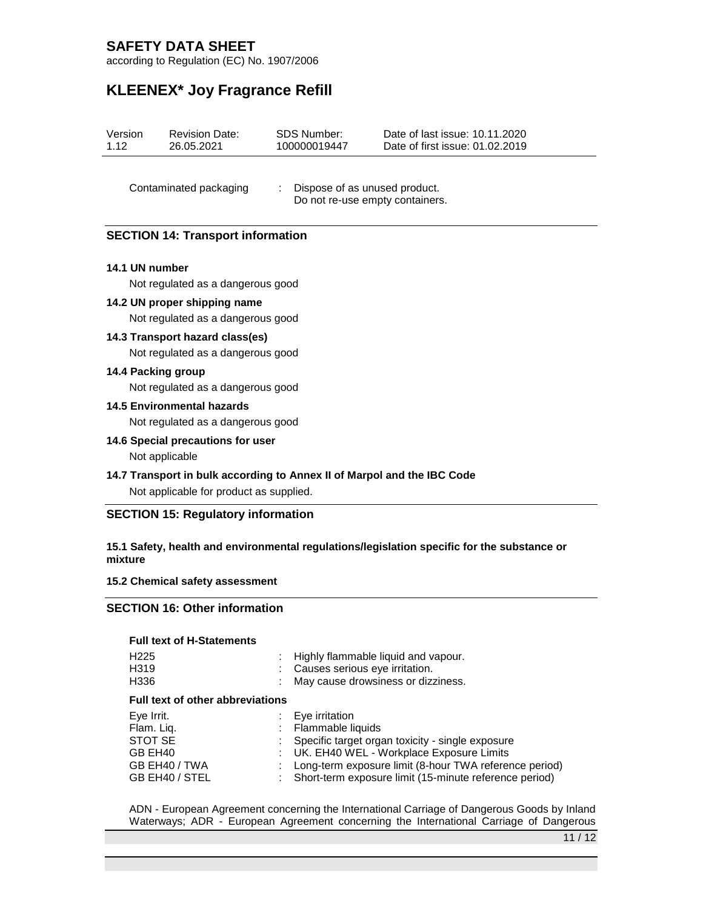according to Regulation (EC) No. 1907/2006

# **KLEENEX\* Joy Fragrance Refill**

| Version | <b>Revision Date:</b> | SDS Number:  | Date of last issue: 10.11.2020  |
|---------|-----------------------|--------------|---------------------------------|
| 1.12    | 26.05.2021            | 100000019447 | Date of first issue: 01.02.2019 |

Contaminated packaging : Dispose of as unused product. Do not re-use empty containers.

### **SECTION 14: Transport information**

#### **14.1 UN number**

Not regulated as a dangerous good

**14.2 UN proper shipping name**

Not regulated as a dangerous good

#### **14.3 Transport hazard class(es)**

Not regulated as a dangerous good

#### **14.4 Packing group**

Not regulated as a dangerous good

#### **14.5 Environmental hazards**

Not regulated as a dangerous good

- **14.6 Special precautions for user** Not applicable
- **14.7 Transport in bulk according to Annex II of Marpol and the IBC Code**

Not applicable for product as supplied.

### **SECTION 15: Regulatory information**

#### **15.1 Safety, health and environmental regulations/legislation specific for the substance or mixture**

#### **15.2 Chemical safety assessment**

### **SECTION 16: Other information**

#### **Full text of H-Statements**

| H <sub>225</sub><br>H <sub>3</sub> 19<br>H336 | Highly flammable liquid and vapour.<br>Causes serious eye irritation.<br>May cause drowsiness or dizziness. |
|-----------------------------------------------|-------------------------------------------------------------------------------------------------------------|
| <b>Full text of other abbreviations</b>       |                                                                                                             |
| Eye Irrit.                                    | Eye irritation                                                                                              |
| Flam. Liq.                                    | Flammable liquids                                                                                           |
| STOT SE                                       | Specific target organ toxicity - single exposure                                                            |
| GB EH40                                       | UK. EH40 WEL - Workplace Exposure Limits                                                                    |
| GB EH40 / TWA                                 | Long-term exposure limit (8-hour TWA reference period)                                                      |
| GB EH40 / STEL                                | Short-term exposure limit (15-minute reference period)                                                      |

ADN - European Agreement concerning the International Carriage of Dangerous Goods by Inland Waterways; ADR - European Agreement concerning the International Carriage of Dangerous